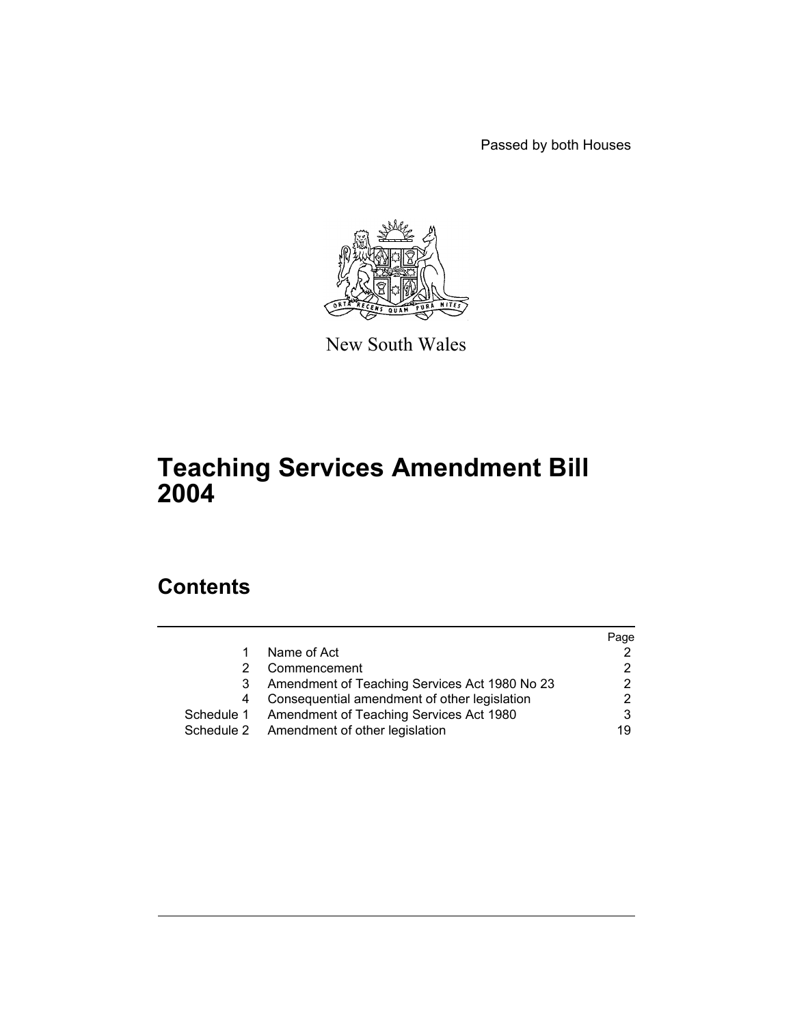Passed by both Houses



New South Wales

# **Teaching Services Amendment Bill 2004**

# **Contents**

|            |                                               | Page |
|------------|-----------------------------------------------|------|
|            | Name of Act                                   |      |
|            | Commencement                                  |      |
| 3          | Amendment of Teaching Services Act 1980 No 23 |      |
|            | Consequential amendment of other legislation  |      |
| Schedule 1 | Amendment of Teaching Services Act 1980       |      |
| Schedule 2 | Amendment of other legislation                | 19   |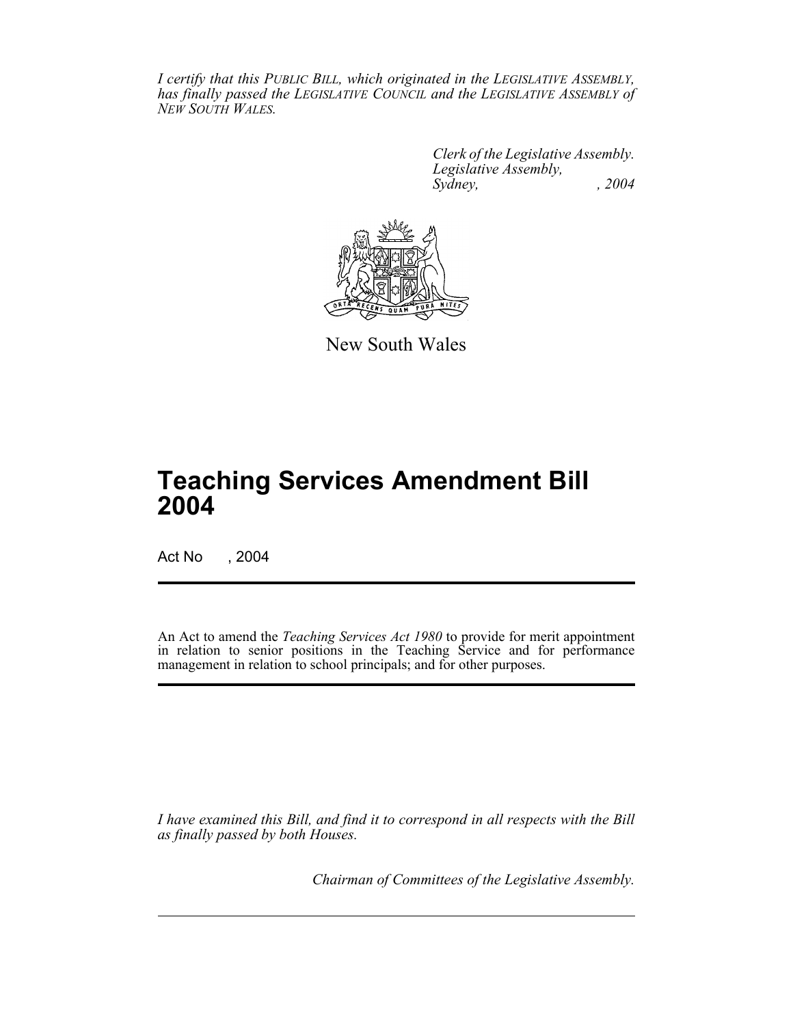*I certify that this PUBLIC BILL, which originated in the LEGISLATIVE ASSEMBLY, has finally passed the LEGISLATIVE COUNCIL and the LEGISLATIVE ASSEMBLY of NEW SOUTH WALES.*

> *Clerk of the Legislative Assembly. Legislative Assembly, Sydney, , 2004*



New South Wales

# **Teaching Services Amendment Bill 2004**

Act No , 2004

An Act to amend the *Teaching Services Act 1980* to provide for merit appointment in relation to senior positions in the Teaching Service and for performance management in relation to school principals; and for other purposes.

*I have examined this Bill, and find it to correspond in all respects with the Bill as finally passed by both Houses.*

*Chairman of Committees of the Legislative Assembly.*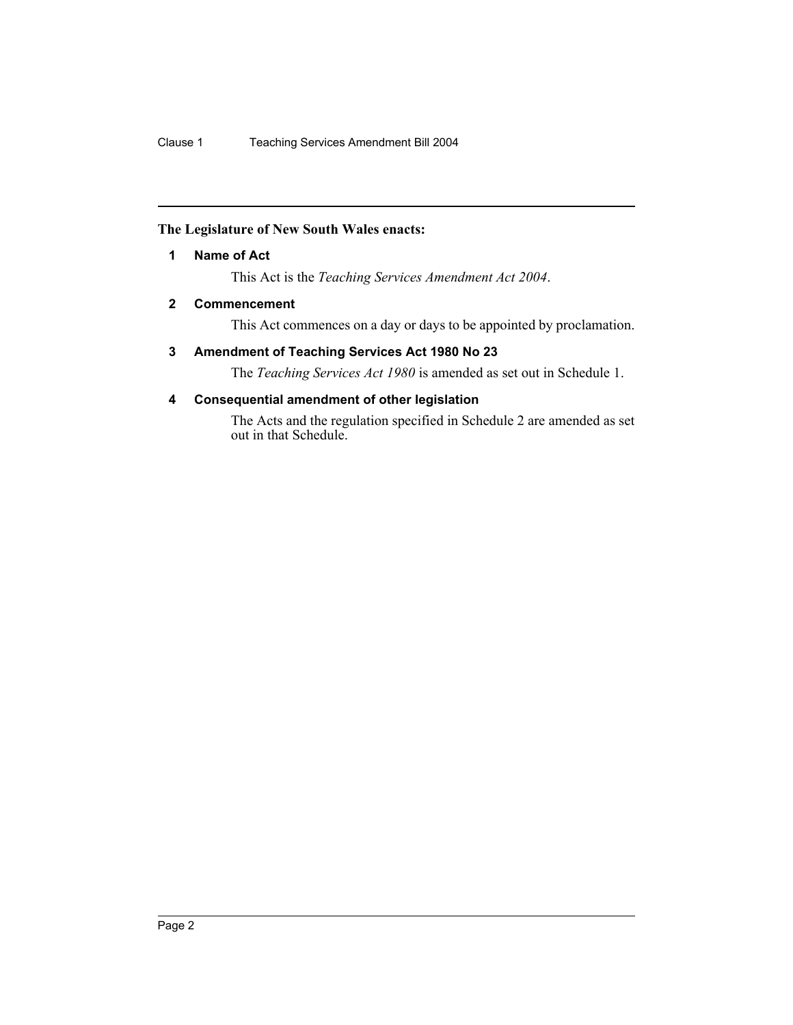## **The Legislature of New South Wales enacts:**

#### **1 Name of Act**

This Act is the *Teaching Services Amendment Act 2004*.

#### **2 Commencement**

This Act commences on a day or days to be appointed by proclamation.

#### **3 Amendment of Teaching Services Act 1980 No 23**

The *Teaching Services Act 1980* is amended as set out in Schedule 1.

## **4 Consequential amendment of other legislation**

The Acts and the regulation specified in Schedule 2 are amended as set out in that Schedule.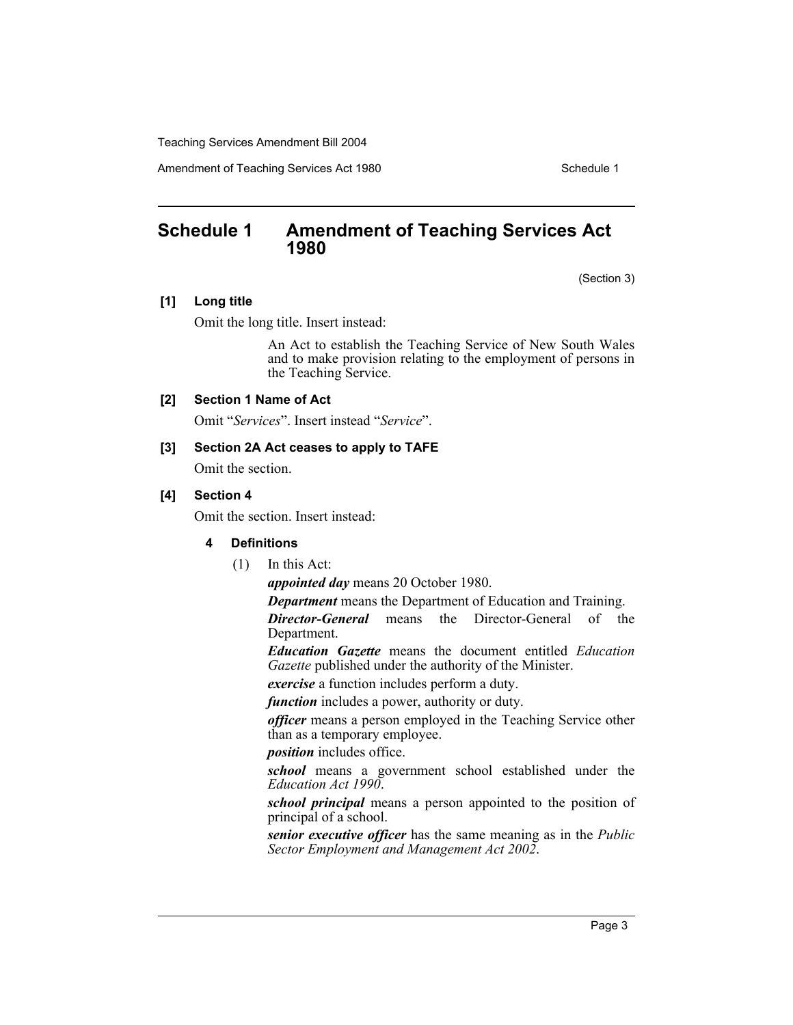Amendment of Teaching Services Act 1980 Schedule 1

# **Schedule 1 Amendment of Teaching Services Act 1980**

(Section 3)

#### **[1] Long title**

Omit the long title. Insert instead:

An Act to establish the Teaching Service of New South Wales and to make provision relating to the employment of persons in the Teaching Service.

#### **[2] Section 1 Name of Act**

Omit "*Services*". Insert instead "*Service*".

#### **[3] Section 2A Act ceases to apply to TAFE**

Omit the section.

#### **[4] Section 4**

Omit the section. Insert instead:

#### **4 Definitions**

(1) In this Act:

*appointed day* means 20 October 1980.

*Department* means the Department of Education and Training.

*Director-General* means the Director-General of the Department.

*Education Gazette* means the document entitled *Education Gazette* published under the authority of the Minister.

*exercise* a function includes perform a duty.

*function* includes a power, authority or duty.

*officer* means a person employed in the Teaching Service other than as a temporary employee.

*position* includes office.

*school* means a government school established under the *Education Act 1990*.

*school principal* means a person appointed to the position of principal of a school.

*senior executive officer* has the same meaning as in the *Public Sector Employment and Management Act 2002*.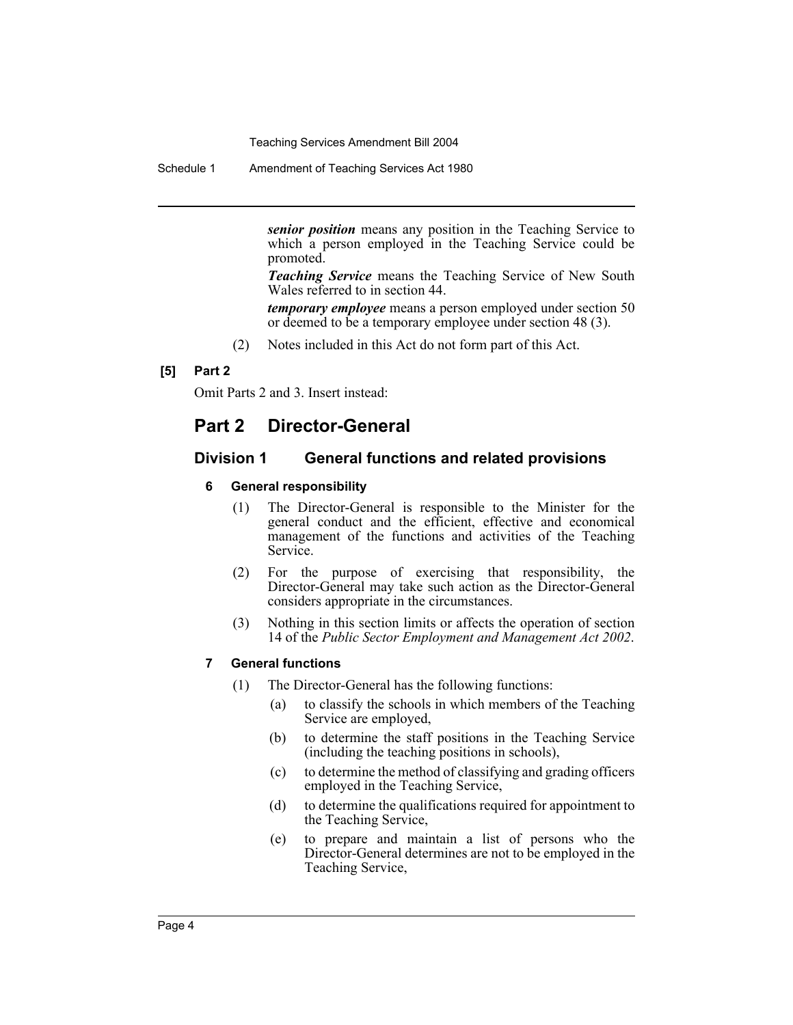Schedule 1 Amendment of Teaching Services Act 1980

*senior position* means any position in the Teaching Service to which a person employed in the Teaching Service could be promoted.

*Teaching Service* means the Teaching Service of New South Wales referred to in section 44.

*temporary employee* means a person employed under section 50 or deemed to be a temporary employee under section 48 (3).

(2) Notes included in this Act do not form part of this Act.

## **[5] Part 2**

Omit Parts 2 and 3. Insert instead:

# **Part 2 Director-General**

#### **Division 1 General functions and related provisions**

#### **6 General responsibility**

- (1) The Director-General is responsible to the Minister for the general conduct and the efficient, effective and economical management of the functions and activities of the Teaching Service.
- (2) For the purpose of exercising that responsibility, the Director-General may take such action as the Director-General considers appropriate in the circumstances.
- (3) Nothing in this section limits or affects the operation of section 14 of the *Public Sector Employment and Management Act 2002*.

#### **7 General functions**

- (1) The Director-General has the following functions:
	- (a) to classify the schools in which members of the Teaching Service are employed,
	- (b) to determine the staff positions in the Teaching Service (including the teaching positions in schools),
	- (c) to determine the method of classifying and grading officers employed in the Teaching Service,
	- (d) to determine the qualifications required for appointment to the Teaching Service,
	- (e) to prepare and maintain a list of persons who the Director-General determines are not to be employed in the Teaching Service,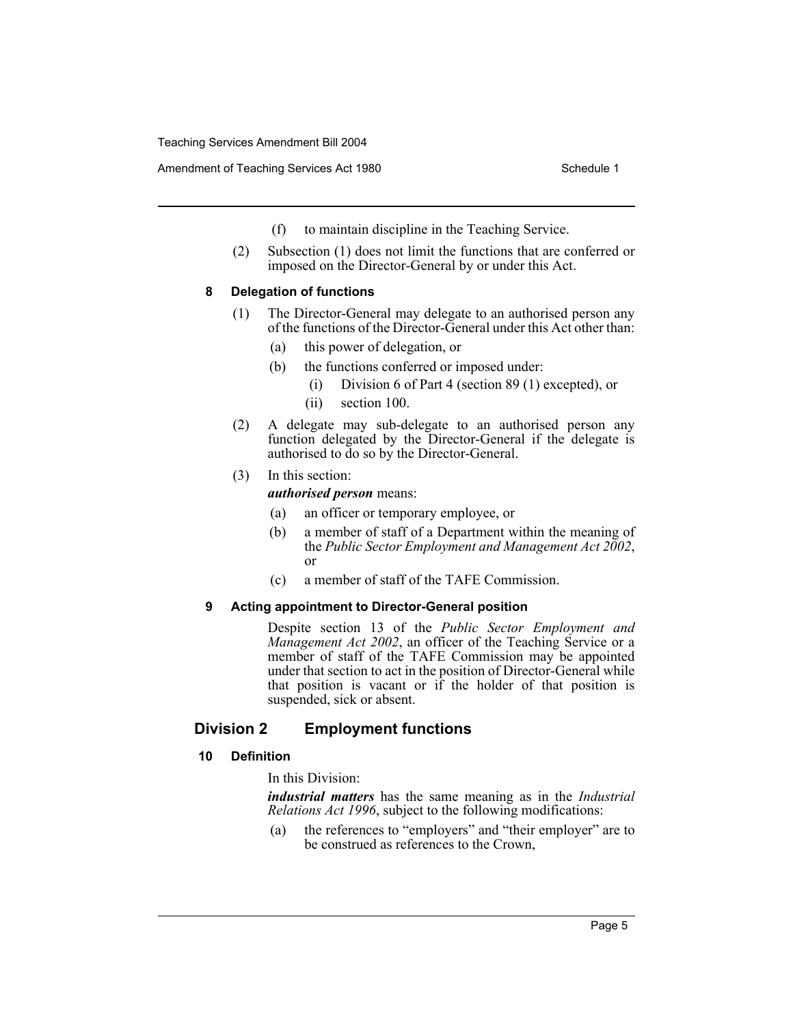- (f) to maintain discipline in the Teaching Service.
- (2) Subsection (1) does not limit the functions that are conferred or imposed on the Director-General by or under this Act.

#### **8 Delegation of functions**

- (1) The Director-General may delegate to an authorised person any of the functions of the Director-General under this Act other than:
	- (a) this power of delegation, or
	- (b) the functions conferred or imposed under:
		- (i) Division 6 of Part 4 (section 89 (1) excepted), or
		- (ii) section 100.
- (2) A delegate may sub-delegate to an authorised person any function delegated by the Director-General if the delegate is authorised to do so by the Director-General.
- (3) In this section:

*authorised person* means:

- (a) an officer or temporary employee, or
- (b) a member of staff of a Department within the meaning of the *Public Sector Employment and Management Act 2002*, or
- (c) a member of staff of the TAFE Commission.

## **9 Acting appointment to Director-General position**

Despite section 13 of the *Public Sector Employment and Management Act 2002*, an officer of the Teaching Service or a member of staff of the TAFE Commission may be appointed under that section to act in the position of Director-General while that position is vacant or if the holder of that position is suspended, sick or absent.

# **Division 2 Employment functions**

## **10 Definition**

In this Division:

*industrial matters* has the same meaning as in the *Industrial Relations Act 1996*, subject to the following modifications:

(a) the references to "employers" and "their employer" are to be construed as references to the Crown,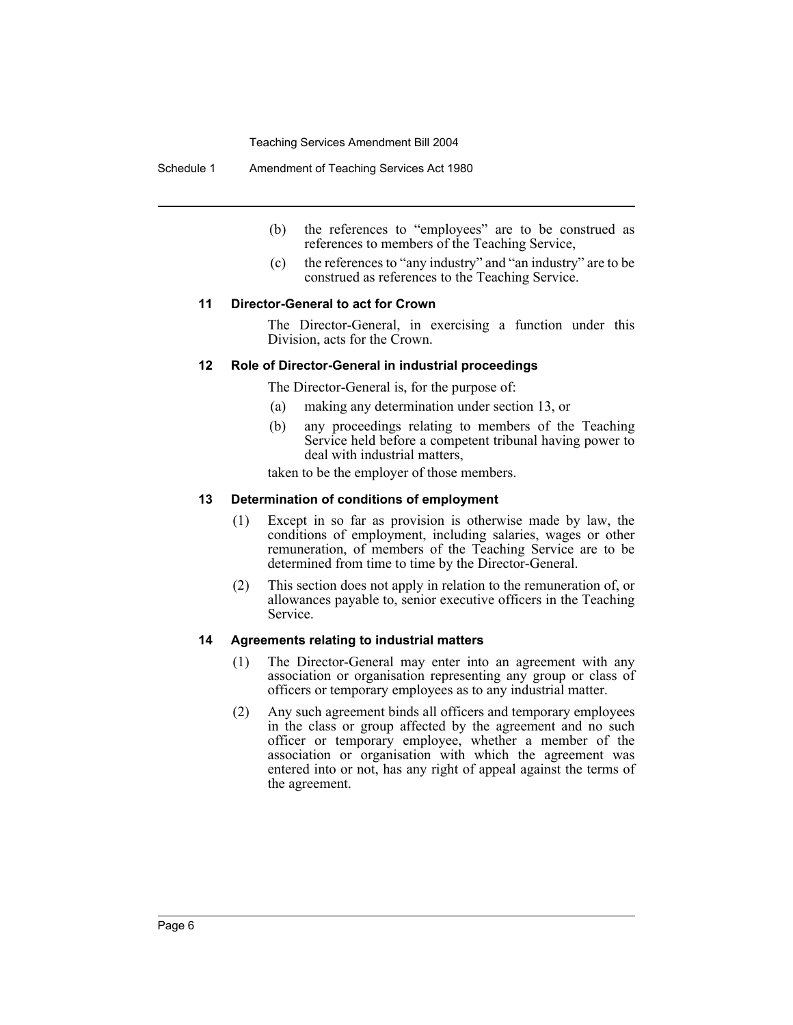Schedule 1 Amendment of Teaching Services Act 1980

- (b) the references to "employees" are to be construed as references to members of the Teaching Service,
- (c) the references to "any industry" and "an industry" are to be construed as references to the Teaching Service.

#### **11 Director-General to act for Crown**

The Director-General, in exercising a function under this Division, acts for the Crown.

#### **12 Role of Director-General in industrial proceedings**

The Director-General is, for the purpose of:

- (a) making any determination under section 13, or
- (b) any proceedings relating to members of the Teaching Service held before a competent tribunal having power to deal with industrial matters,

taken to be the employer of those members.

#### **13 Determination of conditions of employment**

- (1) Except in so far as provision is otherwise made by law, the conditions of employment, including salaries, wages or other remuneration, of members of the Teaching Service are to be determined from time to time by the Director-General.
- (2) This section does not apply in relation to the remuneration of, or allowances payable to, senior executive officers in the Teaching Service.

#### **14 Agreements relating to industrial matters**

- (1) The Director-General may enter into an agreement with any association or organisation representing any group or class of officers or temporary employees as to any industrial matter.
- (2) Any such agreement binds all officers and temporary employees in the class or group affected by the agreement and no such officer or temporary employee, whether a member of the association or organisation with which the agreement was entered into or not, has any right of appeal against the terms of the agreement.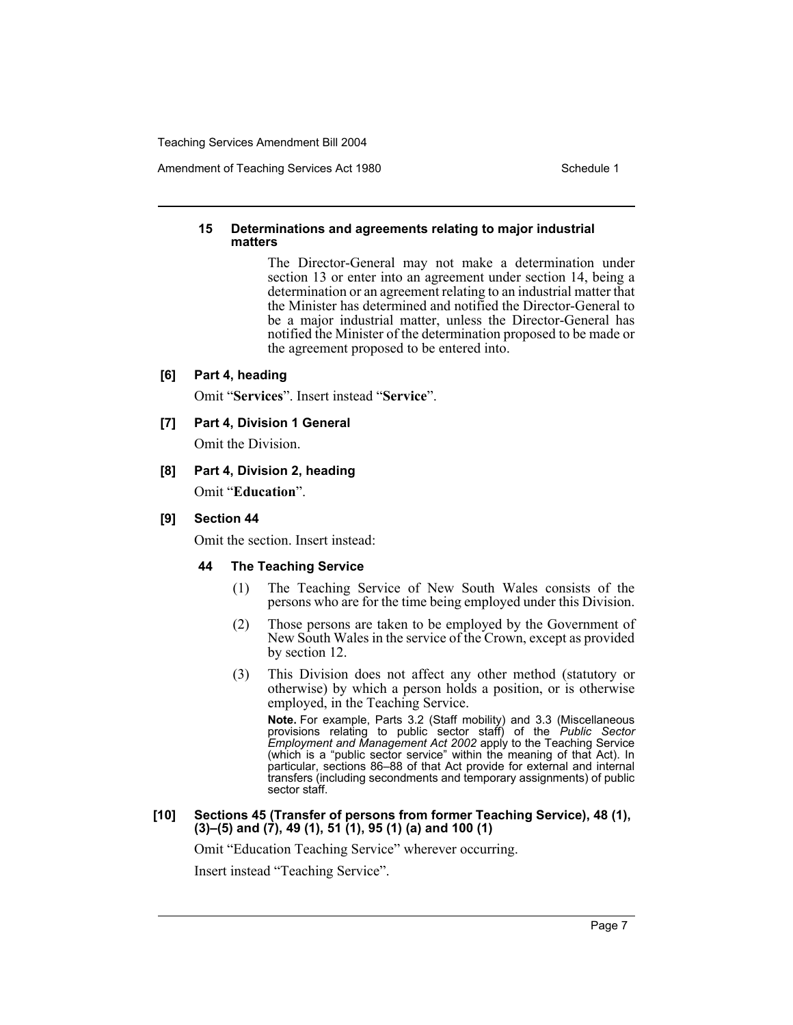#### **15 Determinations and agreements relating to major industrial matters**

The Director-General may not make a determination under section 13 or enter into an agreement under section 14, being a determination or an agreement relating to an industrial matter that the Minister has determined and notified the Director-General to be a major industrial matter, unless the Director-General has notified the Minister of the determination proposed to be made or the agreement proposed to be entered into.

#### **[6] Part 4, heading**

Omit "**Services**". Insert instead "**Service**".

## **[7] Part 4, Division 1 General**

Omit the Division.

# **[8] Part 4, Division 2, heading**

Omit "**Education**".

#### **[9] Section 44**

Omit the section. Insert instead:

## **44 The Teaching Service**

- (1) The Teaching Service of New South Wales consists of the persons who are for the time being employed under this Division.
- (2) Those persons are taken to be employed by the Government of New South Wales in the service of the Crown, except as provided by section 12.
- (3) This Division does not affect any other method (statutory or otherwise) by which a person holds a position, or is otherwise employed, in the Teaching Service.

**Note.** For example, Parts 3.2 (Staff mobility) and 3.3 (Miscellaneous provisions relating to public sector staff) of the *Public Sector Employment and Management Act 2002* apply to the Teaching Service (which is a "public sector service" within the meaning of that Act). In particular, sections 86–88 of that Act provide for external and internal transfers (including secondments and temporary assignments) of public sector staff.

#### **[10] Sections 45 (Transfer of persons from former Teaching Service), 48 (1), (3)–(5) and (7), 49 (1), 51 (1), 95 (1) (a) and 100 (1)**

Omit "Education Teaching Service" wherever occurring.

Insert instead "Teaching Service".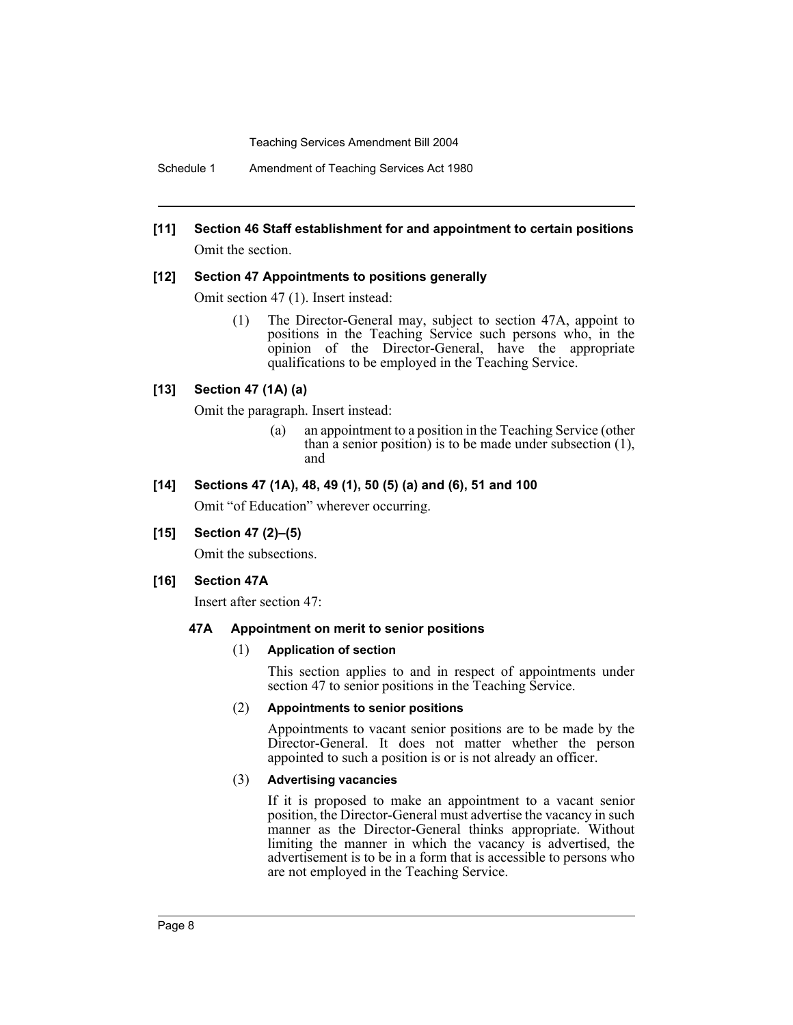Schedule 1 Amendment of Teaching Services Act 1980

# **[11] Section 46 Staff establishment for and appointment to certain positions**

Omit the section.

#### **[12] Section 47 Appointments to positions generally**

Omit section 47 (1). Insert instead:

(1) The Director-General may, subject to section 47A, appoint to positions in the Teaching Service such persons who, in the opinion of the Director-General, have the appropriate qualifications to be employed in the Teaching Service.

## **[13] Section 47 (1A) (a)**

Omit the paragraph. Insert instead:

(a) an appointment to a position in the Teaching Service (other than  $\hat{a}$  senior position) is to be made under subsection (1), and

#### **[14] Sections 47 (1A), 48, 49 (1), 50 (5) (a) and (6), 51 and 100**

Omit "of Education" wherever occurring.

## **[15] Section 47 (2)–(5)**

Omit the subsections.

## **[16] Section 47A**

Insert after section 47:

#### **47A Appointment on merit to senior positions**

#### (1) **Application of section**

This section applies to and in respect of appointments under section 47 to senior positions in the Teaching Service.

#### (2) **Appointments to senior positions**

Appointments to vacant senior positions are to be made by the Director-General. It does not matter whether the person appointed to such a position is or is not already an officer.

#### (3) **Advertising vacancies**

If it is proposed to make an appointment to a vacant senior position, the Director-General must advertise the vacancy in such manner as the Director-General thinks appropriate. Without limiting the manner in which the vacancy is advertised, the advertisement is to be in a form that is accessible to persons who are not employed in the Teaching Service.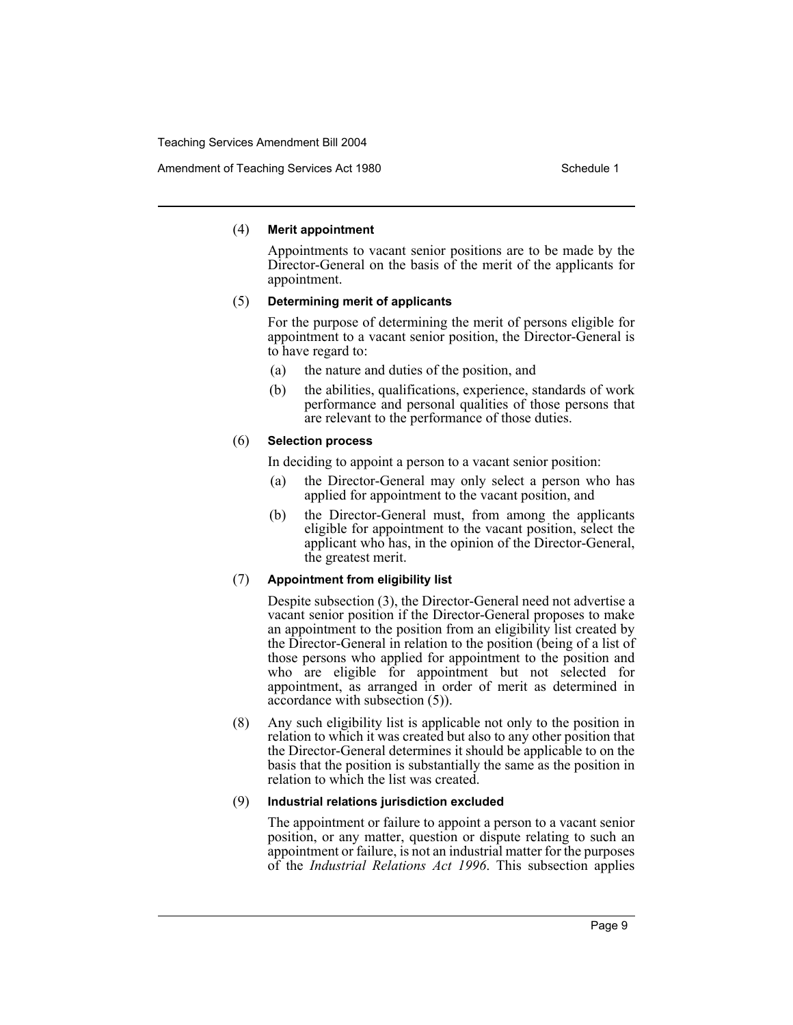#### (4) **Merit appointment**

Appointments to vacant senior positions are to be made by the Director-General on the basis of the merit of the applicants for appointment.

#### (5) **Determining merit of applicants**

For the purpose of determining the merit of persons eligible for appointment to a vacant senior position, the Director-General is to have regard to:

- (a) the nature and duties of the position, and
- (b) the abilities, qualifications, experience, standards of work performance and personal qualities of those persons that are relevant to the performance of those duties.

#### (6) **Selection process**

In deciding to appoint a person to a vacant senior position:

- (a) the Director-General may only select a person who has applied for appointment to the vacant position, and
- (b) the Director-General must, from among the applicants eligible for appointment to the vacant position, select the applicant who has, in the opinion of the Director-General, the greatest merit.

## (7) **Appointment from eligibility list**

Despite subsection (3), the Director-General need not advertise a vacant senior position if the Director-General proposes to make an appointment to the position from an eligibility list created by the Director-General in relation to the position (being of a list of those persons who applied for appointment to the position and who are eligible for appointment but not selected for appointment, as arranged in order of merit as determined in accordance with subsection (5)).

(8) Any such eligibility list is applicable not only to the position in relation to which it was created but also to any other position that the Director-General determines it should be applicable to on the basis that the position is substantially the same as the position in relation to which the list was created.

#### (9) **Industrial relations jurisdiction excluded**

The appointment or failure to appoint a person to a vacant senior position, or any matter, question or dispute relating to such an appointment or failure, is not an industrial matter for the purposes of the *Industrial Relations Act 1996*. This subsection applies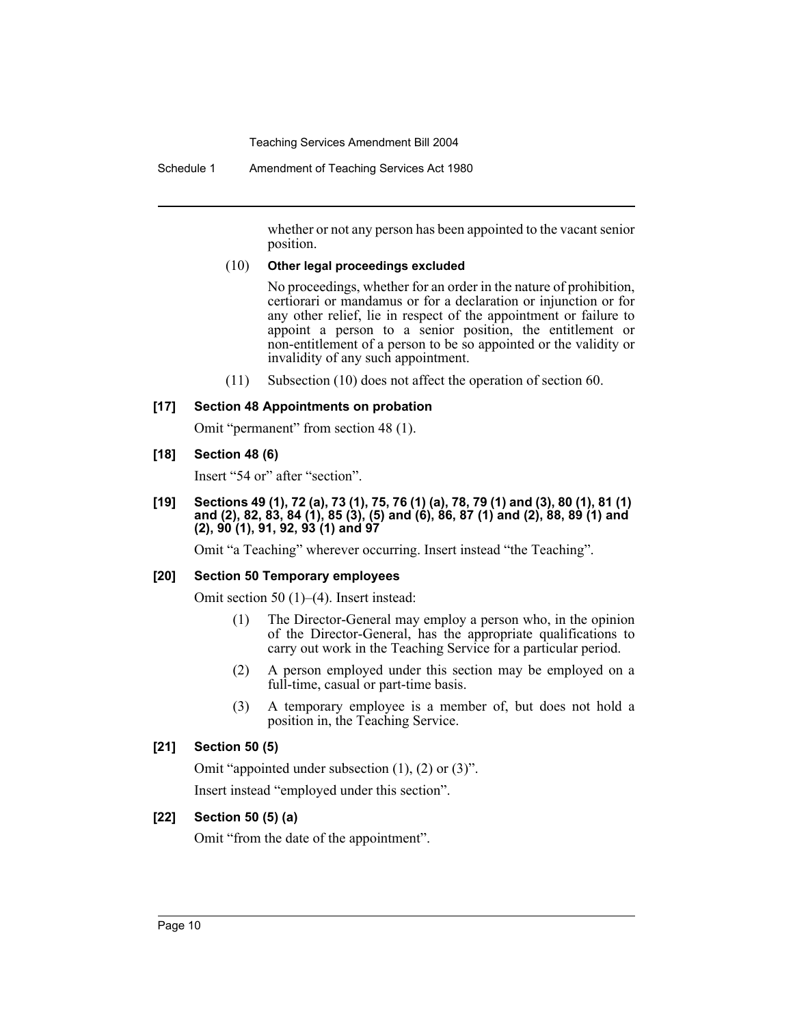Schedule 1 Amendment of Teaching Services Act 1980

whether or not any person has been appointed to the vacant senior position.

#### (10) **Other legal proceedings excluded**

No proceedings, whether for an order in the nature of prohibition, certiorari or mandamus or for a declaration or injunction or for any other relief, lie in respect of the appointment or failure to appoint a person to a senior position, the entitlement or non-entitlement of a person to be so appointed or the validity or invalidity of any such appointment.

(11) Subsection (10) does not affect the operation of section 60.

## **[17] Section 48 Appointments on probation**

Omit "permanent" from section 48 (1).

#### **[18] Section 48 (6)**

Insert "54 or" after "section".

**[19] Sections 49 (1), 72 (a), 73 (1), 75, 76 (1) (a), 78, 79 (1) and (3), 80 (1), 81 (1) and (2), 82, 83, 84 (1), 85 (3), (5) and (6), 86, 87 (1) and (2), 88, 89 (1) and (2), 90 (1), 91, 92, 93 (1) and 97**

Omit "a Teaching" wherever occurring. Insert instead "the Teaching".

#### **[20] Section 50 Temporary employees**

Omit section 50 (1)–(4). Insert instead:

- (1) The Director-General may employ a person who, in the opinion of the Director-General, has the appropriate qualifications to carry out work in the Teaching Service for a particular period.
- (2) A person employed under this section may be employed on a full-time, casual or part-time basis.
- (3) A temporary employee is a member of, but does not hold a position in, the Teaching Service.

## **[21] Section 50 (5)**

Omit "appointed under subsection (1), (2) or (3)".

Insert instead "employed under this section".

## **[22] Section 50 (5) (a)**

Omit "from the date of the appointment".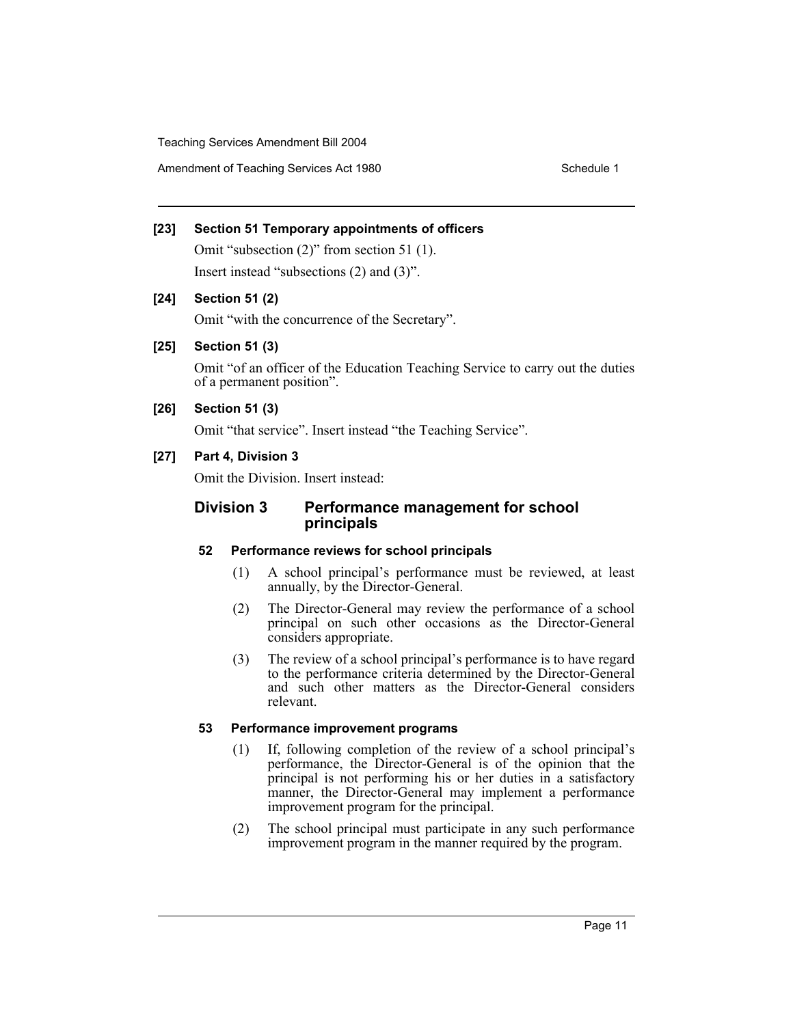Amendment of Teaching Services Act 1980 Schedule 1

# **[23] Section 51 Temporary appointments of officers**

Omit "subsection (2)" from section 51 (1). Insert instead "subsections (2) and (3)".

## **[24] Section 51 (2)**

Omit "with the concurrence of the Secretary".

## **[25] Section 51 (3)**

Omit "of an officer of the Education Teaching Service to carry out the duties of a permanent position".

## **[26] Section 51 (3)**

Omit "that service". Insert instead "the Teaching Service".

## **[27] Part 4, Division 3**

Omit the Division. Insert instead:

## **Division 3 Performance management for school principals**

## **52 Performance reviews for school principals**

- (1) A school principal's performance must be reviewed, at least annually, by the Director-General.
- (2) The Director-General may review the performance of a school principal on such other occasions as the Director-General considers appropriate.
- (3) The review of a school principal's performance is to have regard to the performance criteria determined by the Director-General and such other matters as the Director-General considers relevant.

## **53 Performance improvement programs**

- (1) If, following completion of the review of a school principal's performance, the Director-General is of the opinion that the principal is not performing his or her duties in a satisfactory manner, the Director-General may implement a performance improvement program for the principal.
- (2) The school principal must participate in any such performance improvement program in the manner required by the program.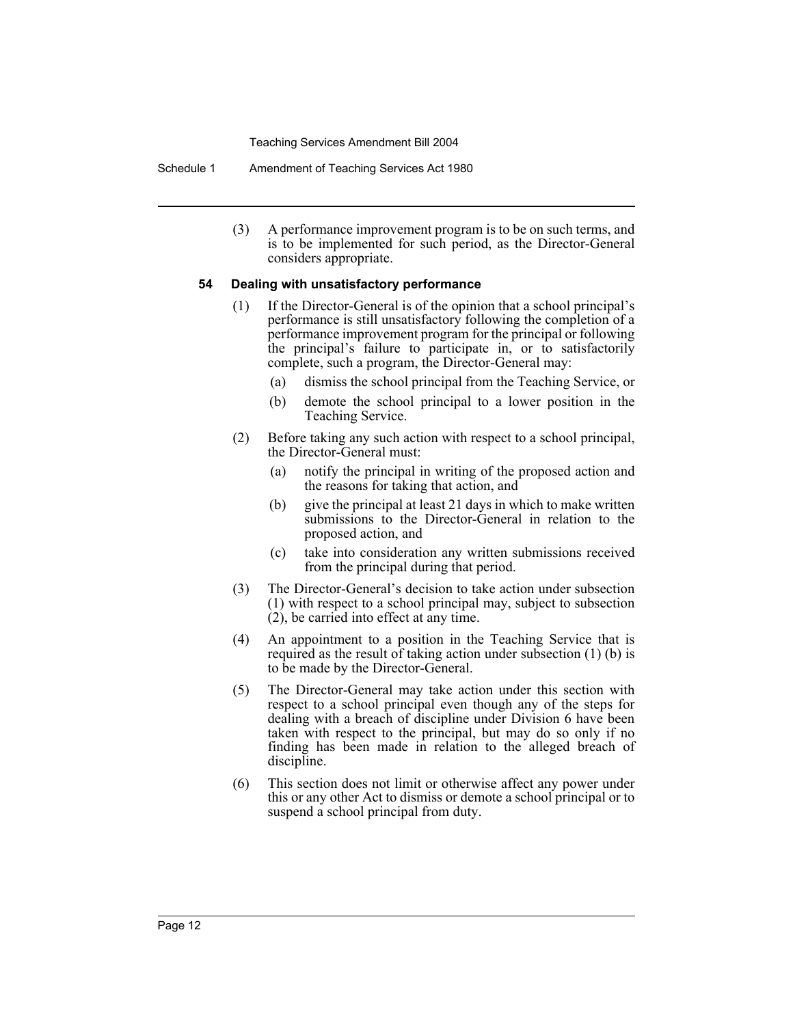Schedule 1 Amendment of Teaching Services Act 1980

(3) A performance improvement program is to be on such terms, and is to be implemented for such period, as the Director-General considers appropriate.

#### **54 Dealing with unsatisfactory performance**

- (1) If the Director-General is of the opinion that a school principal's performance is still unsatisfactory following the completion of a performance improvement program for the principal or following the principal's failure to participate in, or to satisfactorily complete, such a program, the Director-General may:
	- (a) dismiss the school principal from the Teaching Service, or
	- (b) demote the school principal to a lower position in the Teaching Service.
- (2) Before taking any such action with respect to a school principal, the Director-General must:
	- (a) notify the principal in writing of the proposed action and the reasons for taking that action, and
	- (b) give the principal at least 21 days in which to make written submissions to the Director-General in relation to the proposed action, and
	- (c) take into consideration any written submissions received from the principal during that period.
- (3) The Director-General's decision to take action under subsection (1) with respect to a school principal may, subject to subsection (2), be carried into effect at any time.
- (4) An appointment to a position in the Teaching Service that is required as the result of taking action under subsection (1) (b) is to be made by the Director-General.
- (5) The Director-General may take action under this section with respect to a school principal even though any of the steps for dealing with a breach of discipline under Division 6 have been taken with respect to the principal, but may do so only if no finding has been made in relation to the alleged breach of discipline.
- (6) This section does not limit or otherwise affect any power under this or any other Act to dismiss or demote a school principal or to suspend a school principal from duty.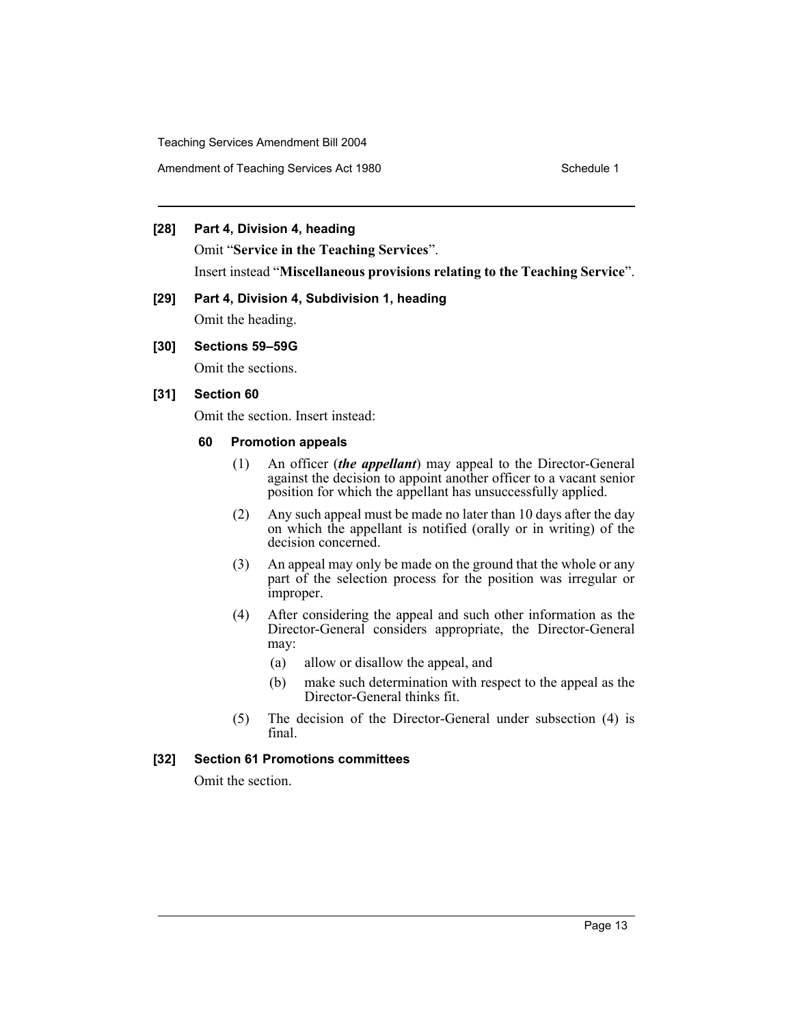Amendment of Teaching Services Act 1980 Schedule 1

#### **[28] Part 4, Division 4, heading**

Omit "**Service in the Teaching Services**". Insert instead "**Miscellaneous provisions relating to the Teaching Service**".

# **[29] Part 4, Division 4, Subdivision 1, heading**

Omit the heading.

## **[30] Sections 59–59G**

Omit the sections.

## **[31] Section 60**

Omit the section. Insert instead:

#### **60 Promotion appeals**

- (1) An officer (*the appellant*) may appeal to the Director-General against the decision to appoint another officer to a vacant senior position for which the appellant has unsuccessfully applied.
- (2) Any such appeal must be made no later than 10 days after the day on which the appellant is notified (orally or in writing) of the decision concerned.
- (3) An appeal may only be made on the ground that the whole or any part of the selection process for the position was irregular or improper.
- (4) After considering the appeal and such other information as the Director-General considers appropriate, the Director-General may:
	- (a) allow or disallow the appeal, and
	- (b) make such determination with respect to the appeal as the Director-General thinks fit.
- (5) The decision of the Director-General under subsection (4) is final.

## **[32] Section 61 Promotions committees**

Omit the section.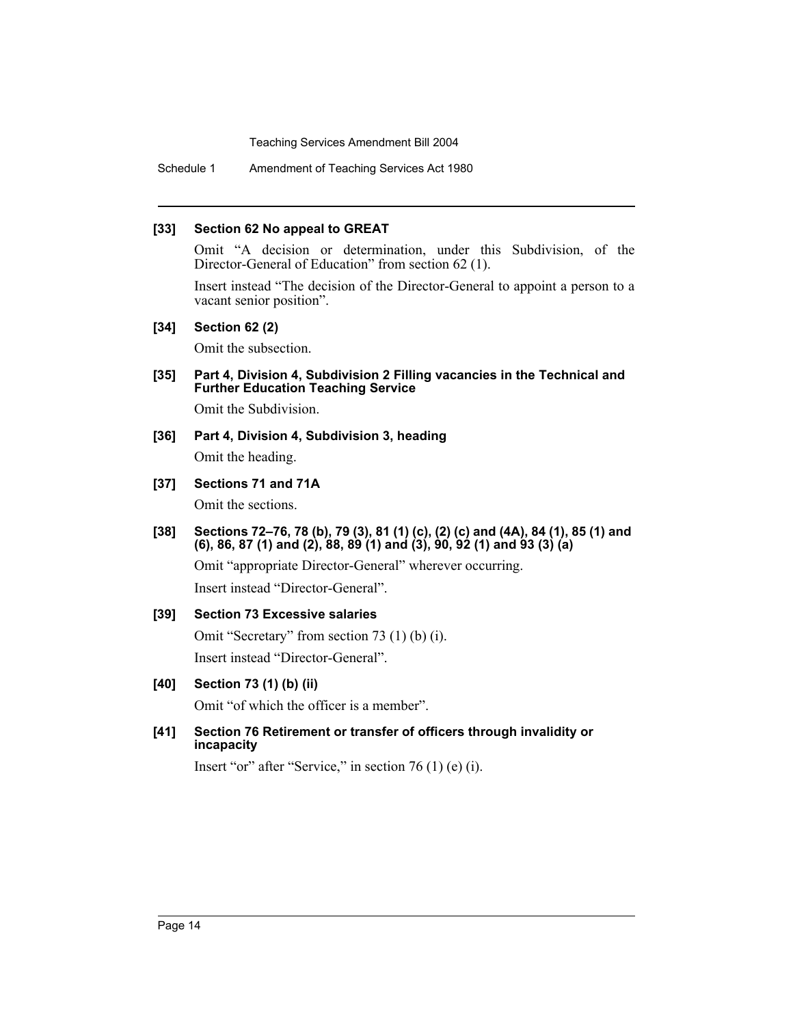Schedule 1 Amendment of Teaching Services Act 1980

#### **[33] Section 62 No appeal to GREAT**

Omit "A decision or determination, under this Subdivision, of the Director-General of Education" from section 62 (1).

Insert instead "The decision of the Director-General to appoint a person to a vacant senior position".

#### **[34] Section 62 (2)**

Omit the subsection.

**[35] Part 4, Division 4, Subdivision 2 Filling vacancies in the Technical and Further Education Teaching Service**

Omit the Subdivision.

- **[36] Part 4, Division 4, Subdivision 3, heading** Omit the heading.
- **[37] Sections 71 and 71A**

Omit the sections.

**[38] Sections 72–76, 78 (b), 79 (3), 81 (1) (c), (2) (c) and (4A), 84 (1), 85 (1) and (6), 86, 87 (1) and (2), 88, 89 (1) and (3), 90, 92 (1) and 93 (3) (a)**

Omit "appropriate Director-General" wherever occurring. Insert instead "Director-General".

## **[39] Section 73 Excessive salaries**

Omit "Secretary" from section 73 (1) (b) (i). Insert instead "Director-General".

## **[40] Section 73 (1) (b) (ii)**

Omit "of which the officer is a member".

**[41] Section 76 Retirement or transfer of officers through invalidity or incapacity**

Insert "or" after "Service," in section 76 (1) (e) (i).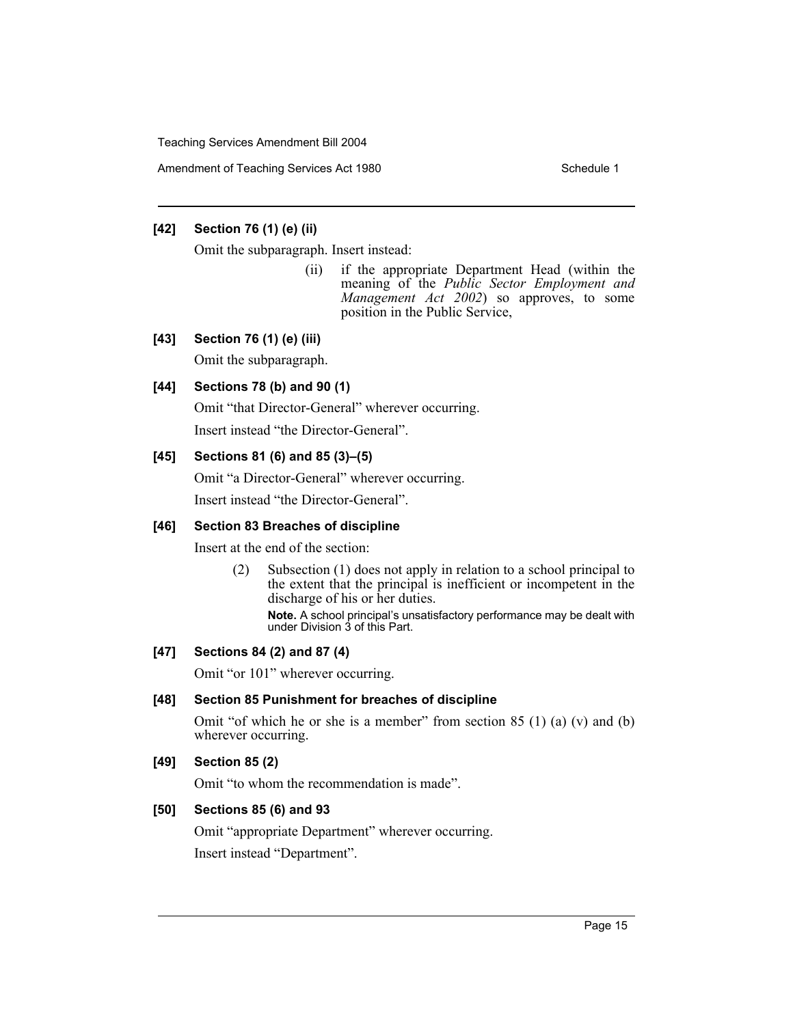Amendment of Teaching Services Act 1980 Schedule 1

## **[42] Section 76 (1) (e) (ii)**

Omit the subparagraph. Insert instead:

(ii) if the appropriate Department Head (within the meaning of the *Public Sector Employment and Management Act 2002*) so approves, to some position in the Public Service,

## **[43] Section 76 (1) (e) (iii)**

Omit the subparagraph.

## **[44] Sections 78 (b) and 90 (1)**

Omit "that Director-General" wherever occurring.

Insert instead "the Director-General".

## **[45] Sections 81 (6) and 85 (3)–(5)**

Omit "a Director-General" wherever occurring.

Insert instead "the Director-General".

## **[46] Section 83 Breaches of discipline**

Insert at the end of the section:

(2) Subsection (1) does not apply in relation to a school principal to the extent that the principal is inefficient or incompetent in the discharge of his or her duties.

**Note.** A school principal's unsatisfactory performance may be dealt with under Division 3 of this Part.

## **[47] Sections 84 (2) and 87 (4)**

Omit "or 101" wherever occurring.

## **[48] Section 85 Punishment for breaches of discipline**

Omit "of which he or she is a member" from section  $85(1)(a)(v)$  and  $(b)$ wherever occurring.

## **[49] Section 85 (2)**

Omit "to whom the recommendation is made".

## **[50] Sections 85 (6) and 93**

Omit "appropriate Department" wherever occurring. Insert instead "Department".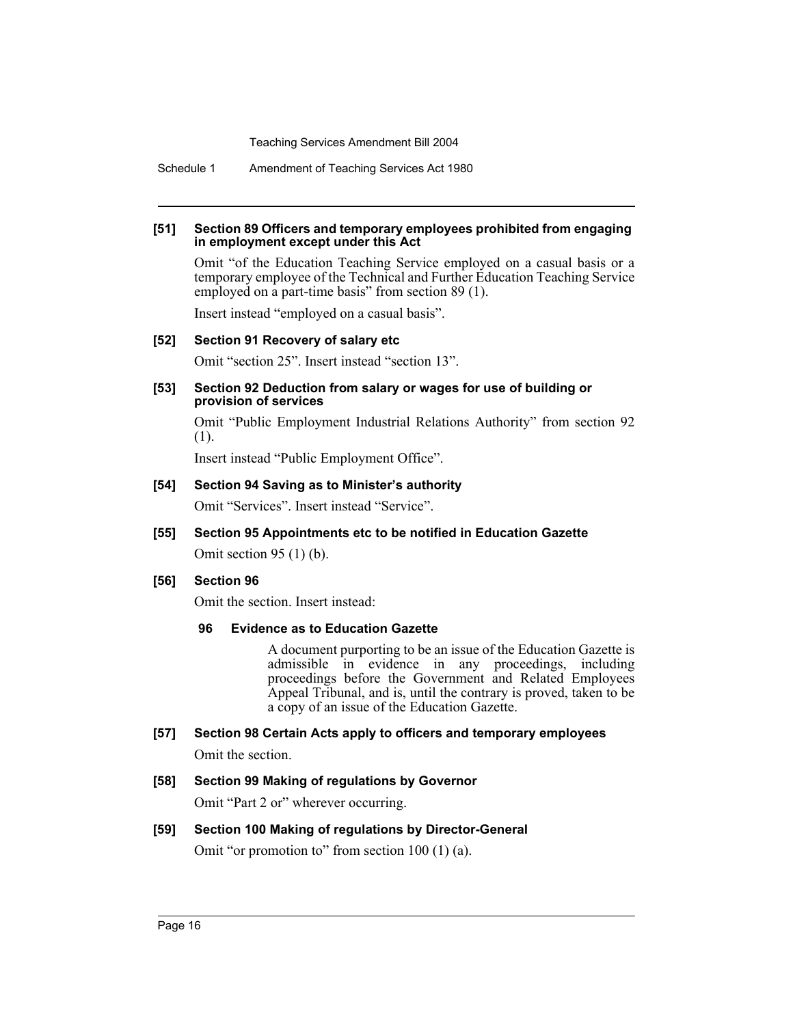Schedule 1 Amendment of Teaching Services Act 1980

#### **[51] Section 89 Officers and temporary employees prohibited from engaging in employment except under this Act**

Omit "of the Education Teaching Service employed on a casual basis or a temporary employee of the Technical and Further Education Teaching Service employed on a part-time basis" from section 89 (1).

Insert instead "employed on a casual basis".

#### **[52] Section 91 Recovery of salary etc**

Omit "section 25". Insert instead "section 13".

#### **[53] Section 92 Deduction from salary or wages for use of building or provision of services**

Omit "Public Employment Industrial Relations Authority" from section 92 (1).

Insert instead "Public Employment Office".

#### **[54] Section 94 Saving as to Minister's authority**

Omit "Services". Insert instead "Service".

## **[55] Section 95 Appointments etc to be notified in Education Gazette**

Omit section 95 (1) (b).

## **[56] Section 96**

Omit the section. Insert instead:

#### **96 Evidence as to Education Gazette**

A document purporting to be an issue of the Education Gazette is admissible in evidence in any proceedings, including proceedings before the Government and Related Employees Appeal Tribunal, and is, until the contrary is proved, taken to be a copy of an issue of the Education Gazette.

# **[57] Section 98 Certain Acts apply to officers and temporary employees**

Omit the section.

# **[58] Section 99 Making of regulations by Governor** Omit "Part 2 or" wherever occurring.

# **[59] Section 100 Making of regulations by Director-General** Omit "or promotion to" from section 100 (1) (a).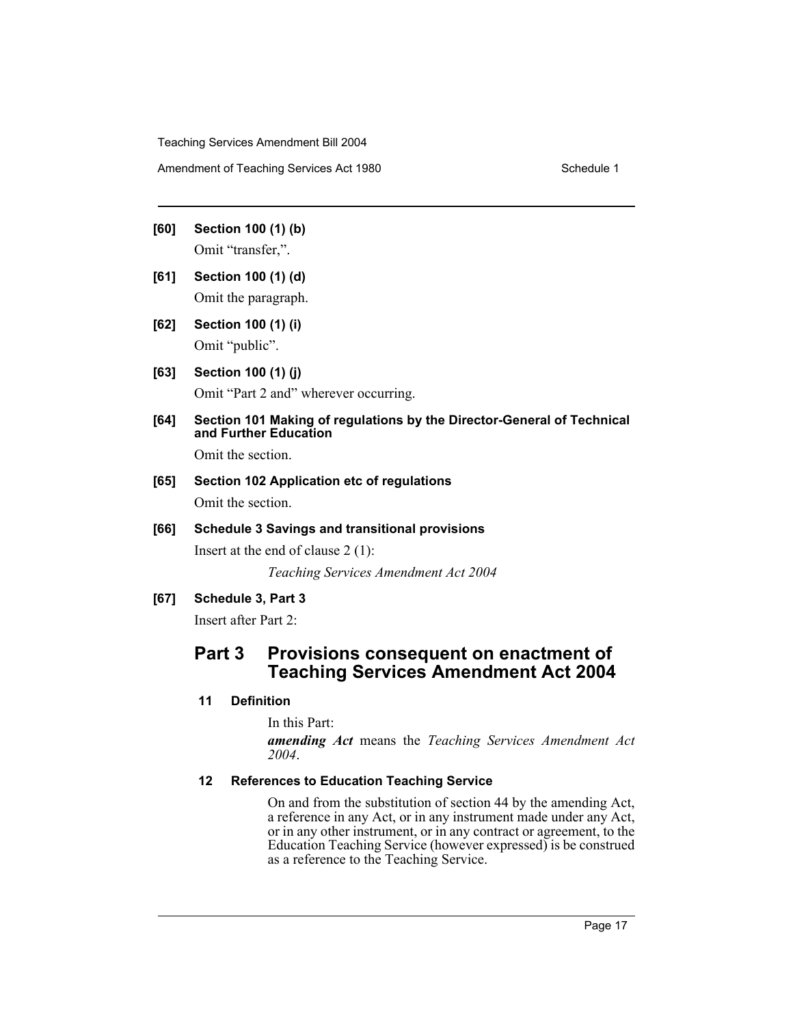Amendment of Teaching Services Act 1980 Schedule 1

- **[60] Section 100 (1) (b)** Omit "transfer,".
- **[61] Section 100 (1) (d)** Omit the paragraph.
- **[62] Section 100 (1) (i)** Omit "public".
- **[63] Section 100 (1) (j)** Omit "Part 2 and" wherever occurring.
- **[64] Section 101 Making of regulations by the Director-General of Technical and Further Education**

Omit the section.

**[65] Section 102 Application etc of regulations** Omit the section.

## **[66] Schedule 3 Savings and transitional provisions**

Insert at the end of clause 2 (1):

*Teaching Services Amendment Act 2004*

## **[67] Schedule 3, Part 3**

Insert after Part 2:

# **Part 3 Provisions consequent on enactment of Teaching Services Amendment Act 2004**

## **11 Definition**

In this Part:

*amending Act* means the *Teaching Services Amendment Act 2004*.

## **12 References to Education Teaching Service**

On and from the substitution of section 44 by the amending Act, a reference in any Act, or in any instrument made under any Act, or in any other instrument, or in any contract or agreement, to the Education Teaching Service (however expressed) is be construed as a reference to the Teaching Service.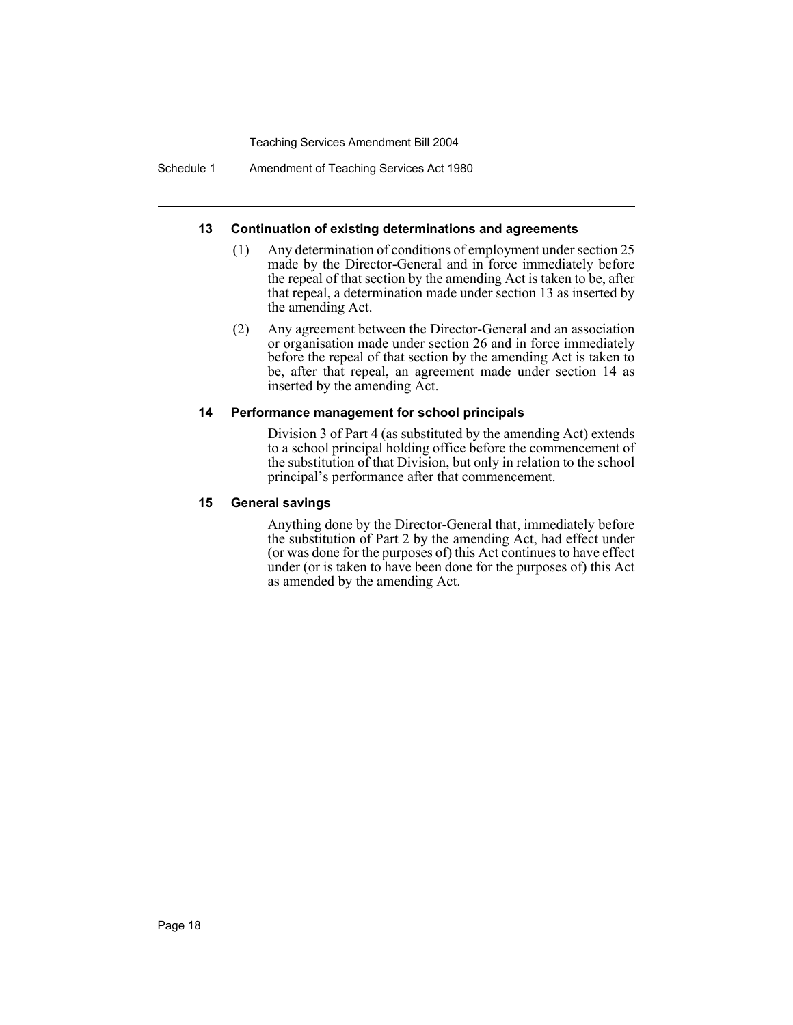Schedule 1 Amendment of Teaching Services Act 1980

#### **13 Continuation of existing determinations and agreements**

- (1) Any determination of conditions of employment under section 25 made by the Director-General and in force immediately before the repeal of that section by the amending Act is taken to be, after that repeal, a determination made under section 13 as inserted by the amending Act.
- (2) Any agreement between the Director-General and an association or organisation made under section 26 and in force immediately before the repeal of that section by the amending Act is taken to be, after that repeal, an agreement made under section 14 as inserted by the amending Act.

#### **14 Performance management for school principals**

Division 3 of Part 4 (as substituted by the amending Act) extends to a school principal holding office before the commencement of the substitution of that Division, but only in relation to the school principal's performance after that commencement.

#### **15 General savings**

Anything done by the Director-General that, immediately before the substitution of Part 2 by the amending Act, had effect under (or was done for the purposes of) this Act continues to have effect under (or is taken to have been done for the purposes of) this Act as amended by the amending Act.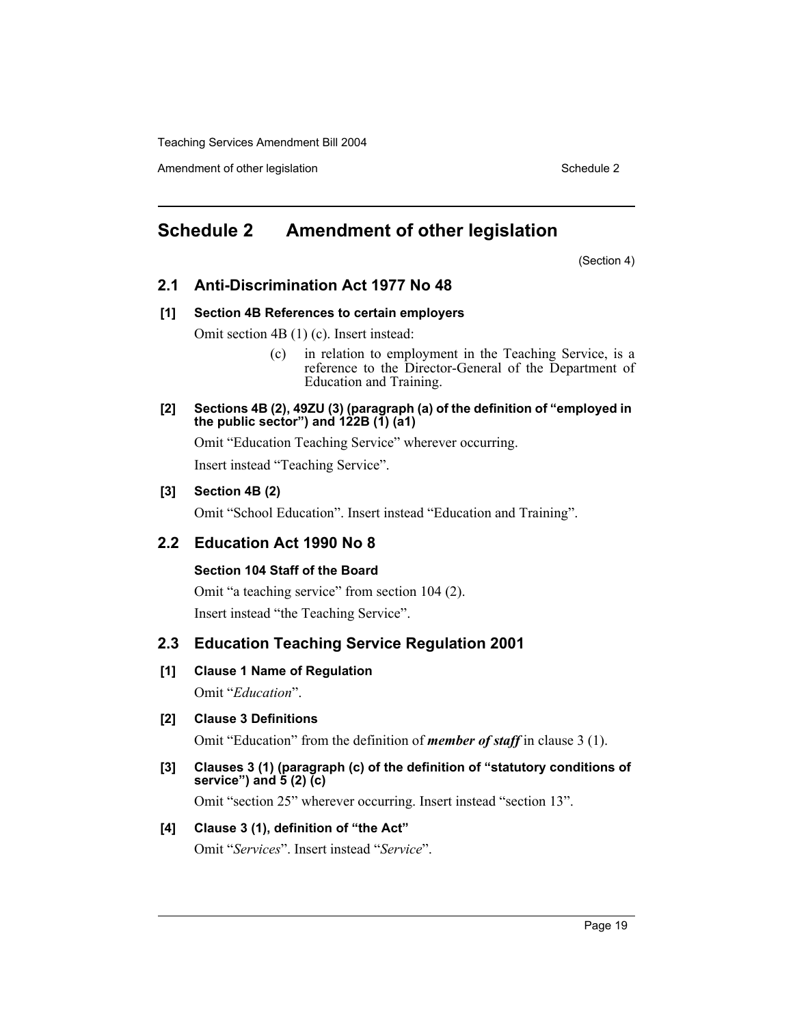Amendment of other legislation Schedule 2 and Schedule 2 and Schedule 2 and Schedule 2 and Schedule 2 and Schedule 2

# **Schedule 2 Amendment of other legislation**

(Section 4)

# **2.1 Anti-Discrimination Act 1977 No 48**

## **[1] Section 4B References to certain employers**

Omit section 4B (1) (c). Insert instead:

- (c) in relation to employment in the Teaching Service, is a reference to the Director-General of the Department of Education and Training.
- **[2] Sections 4B (2), 49ZU (3) (paragraph (a) of the definition of "employed in the public sector") and 122B (1) (a1)**

Omit "Education Teaching Service" wherever occurring.

Insert instead "Teaching Service".

## **[3] Section 4B (2)**

Omit "School Education". Insert instead "Education and Training".

# **2.2 Education Act 1990 No 8**

# **Section 104 Staff of the Board**

Omit "a teaching service" from section 104 (2). Insert instead "the Teaching Service".

# **2.3 Education Teaching Service Regulation 2001**

# **[1] Clause 1 Name of Regulation**

Omit "*Education*".

# **[2] Clause 3 Definitions**

Omit "Education" from the definition of *member of staff* in clause 3 (1).

**[3] Clauses 3 (1) (paragraph (c) of the definition of "statutory conditions of service") and 5 (2) (c)**

Omit "section 25" wherever occurring. Insert instead "section 13".

# **[4] Clause 3 (1), definition of "the Act"**

Omit "*Services*". Insert instead "*Service*".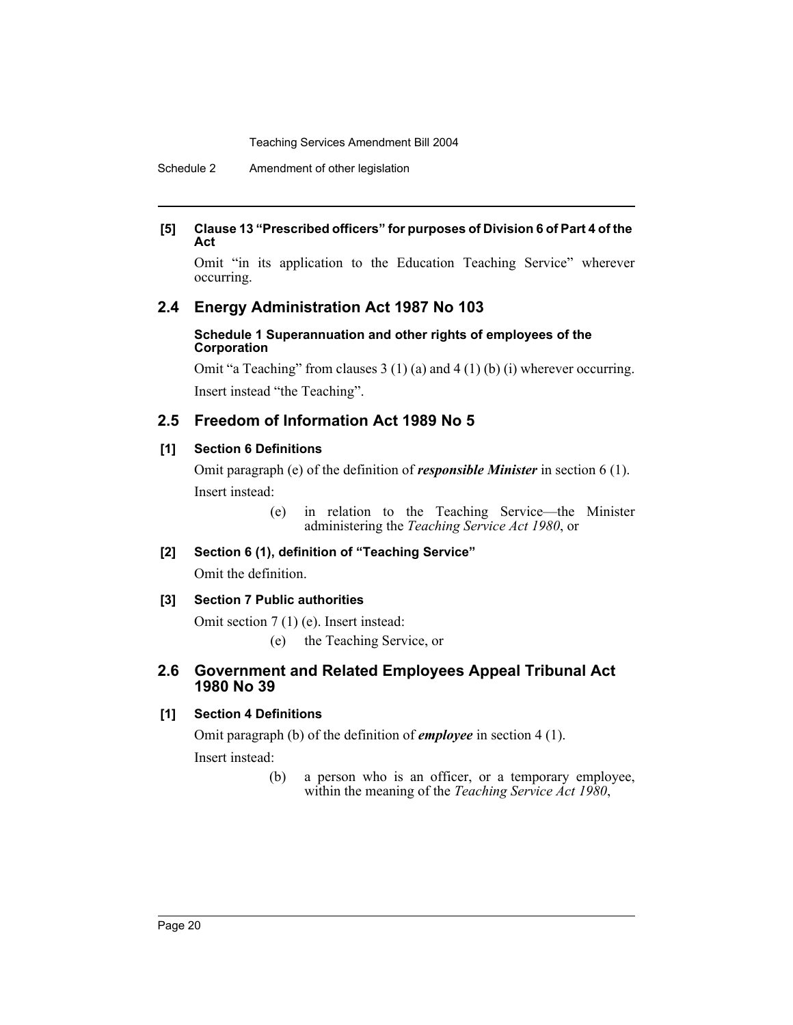Schedule 2 Amendment of other legislation

## **[5] Clause 13 "Prescribed officers" for purposes of Division 6 of Part 4 of the Act**

Omit "in its application to the Education Teaching Service" wherever occurring.

# **2.4 Energy Administration Act 1987 No 103**

#### **Schedule 1 Superannuation and other rights of employees of the Corporation**

Omit "a Teaching" from clauses 3 (1) (a) and 4 (1) (b) (i) wherever occurring. Insert instead "the Teaching".

# **2.5 Freedom of Information Act 1989 No 5**

# **[1] Section 6 Definitions**

Omit paragraph (e) of the definition of *responsible Minister* in section 6 (1). Insert instead:

> (e) in relation to the Teaching Service—the Minister administering the *Teaching Service Act 1980*, or

# **[2] Section 6 (1), definition of "Teaching Service"**

Omit the definition.

# **[3] Section 7 Public authorities**

Omit section 7 (1) (e). Insert instead:

(e) the Teaching Service, or

# **2.6 Government and Related Employees Appeal Tribunal Act 1980 No 39**

# **[1] Section 4 Definitions**

Omit paragraph (b) of the definition of *employee* in section 4 (1). Insert instead:

> (b) a person who is an officer, or a temporary employee, within the meaning of the *Teaching Service Act 1980*,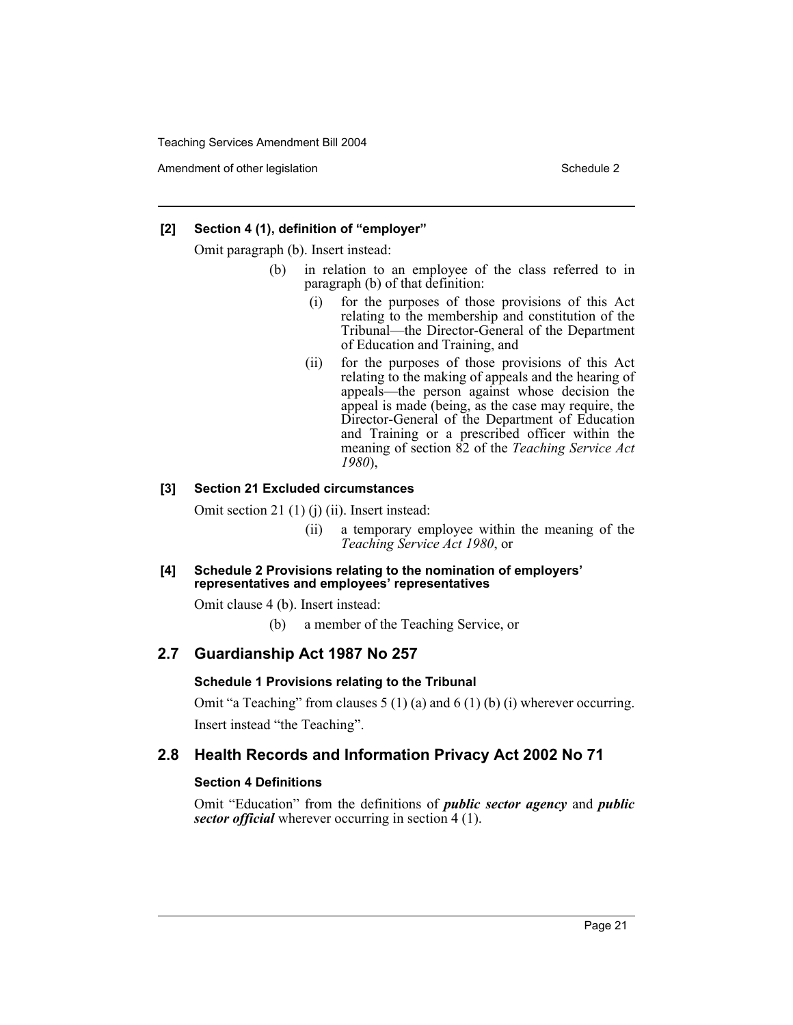Amendment of other legislation Schedule 2 and Schedule 2 and Schedule 2 and Schedule 2 and Schedule 2 and Schedule 2

#### **[2] Section 4 (1), definition of "employer"**

Omit paragraph (b). Insert instead:

- (b) in relation to an employee of the class referred to in paragraph (b) of that definition:
	- (i) for the purposes of those provisions of this Act relating to the membership and constitution of the Tribunal—the Director-General of the Department of Education and Training, and
	- (ii) for the purposes of those provisions of this Act relating to the making of appeals and the hearing of appeals—the person against whose decision the appeal is made (being, as the case may require, the Director-General of the Department of Education and Training or a prescribed officer within the meaning of section 82 of the *Teaching Service Act 1980*),

## **[3] Section 21 Excluded circumstances**

Omit section 21 (1) (j) (ii). Insert instead:

- (ii) a temporary employee within the meaning of the *Teaching Service Act 1980*, or
- **[4] Schedule 2 Provisions relating to the nomination of employers' representatives and employees' representatives**

Omit clause 4 (b). Insert instead:

(b) a member of the Teaching Service, or

# **2.7 Guardianship Act 1987 No 257**

#### **Schedule 1 Provisions relating to the Tribunal**

Omit "a Teaching" from clauses 5 (1) (a) and 6 (1) (b) (i) wherever occurring. Insert instead "the Teaching".

# **2.8 Health Records and Information Privacy Act 2002 No 71**

#### **Section 4 Definitions**

Omit "Education" from the definitions of *public sector agency* and *public sector official* wherever occurring in section 4 (1).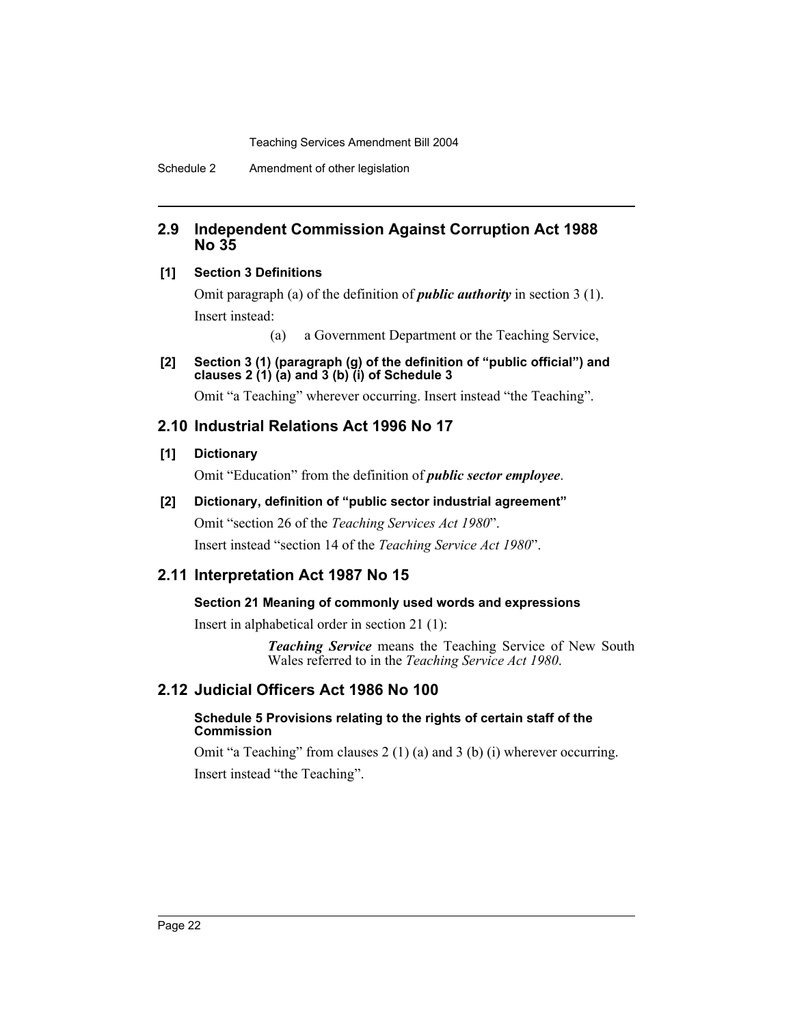Schedule 2 Amendment of other legislation

# **2.9 Independent Commission Against Corruption Act 1988 No 35**

## **[1] Section 3 Definitions**

Omit paragraph (a) of the definition of *public authority* in section 3 (1). Insert instead:

(a) a Government Department or the Teaching Service,

**[2] Section 3 (1) (paragraph (g) of the definition of "public official") and clauses 2 (1) (a) and 3 (b) (i) of Schedule 3**

Omit "a Teaching" wherever occurring. Insert instead "the Teaching".

# **2.10 Industrial Relations Act 1996 No 17**

## **[1] Dictionary**

Omit "Education" from the definition of *public sector employee*.

**[2] Dictionary, definition of "public sector industrial agreement"** Omit "section 26 of the *Teaching Services Act 1980*".

Insert instead "section 14 of the *Teaching Service Act 1980*".

# **2.11 Interpretation Act 1987 No 15**

# **Section 21 Meaning of commonly used words and expressions**

Insert in alphabetical order in section 21 (1):

*Teaching Service* means the Teaching Service of New South Wales referred to in the *Teaching Service Act 1980*.

# **2.12 Judicial Officers Act 1986 No 100**

## **Schedule 5 Provisions relating to the rights of certain staff of the Commission**

Omit "a Teaching" from clauses 2 (1) (a) and 3 (b) (i) wherever occurring. Insert instead "the Teaching".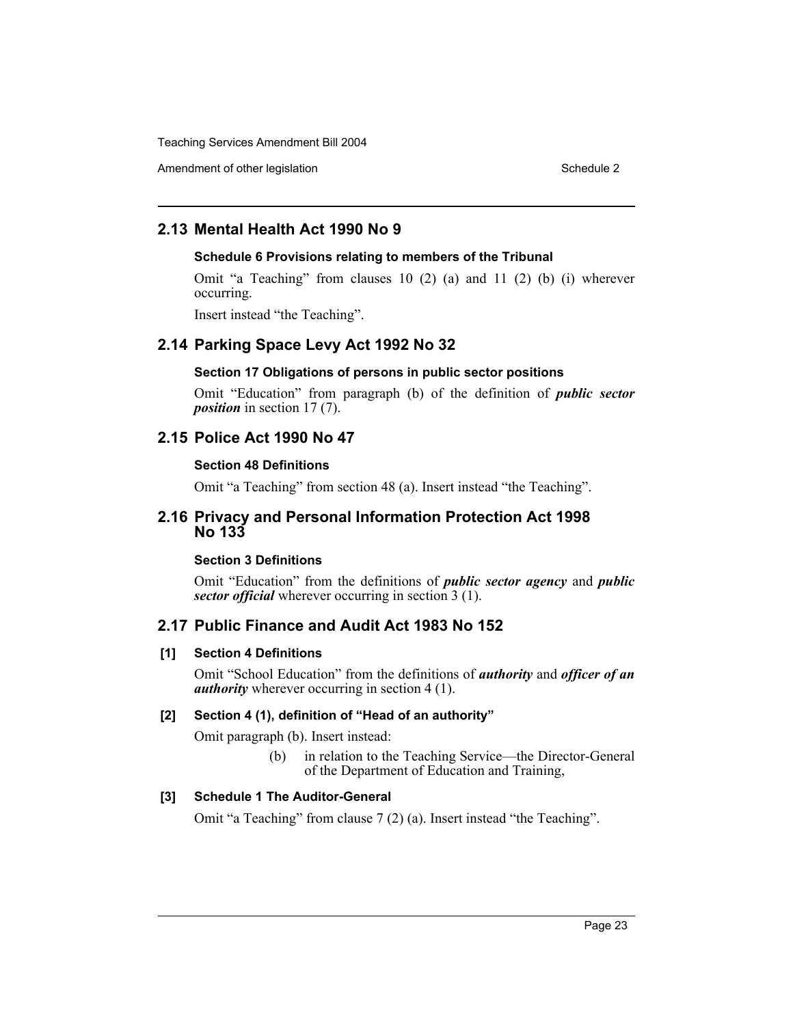Amendment of other legislation Schedule 2 and Schedule 2 and Schedule 2 and Schedule 2 and Schedule 2 and Schedule 2

# **2.13 Mental Health Act 1990 No 9**

#### **Schedule 6 Provisions relating to members of the Tribunal**

Omit "a Teaching" from clauses 10 (2) (a) and 11 (2) (b) (i) wherever occurring.

Insert instead "the Teaching".

# **2.14 Parking Space Levy Act 1992 No 32**

#### **Section 17 Obligations of persons in public sector positions**

Omit "Education" from paragraph (b) of the definition of *public sector position* in section 17 (7).

# **2.15 Police Act 1990 No 47**

#### **Section 48 Definitions**

Omit "a Teaching" from section 48 (a). Insert instead "the Teaching".

## **2.16 Privacy and Personal Information Protection Act 1998 No 133**

## **Section 3 Definitions**

Omit "Education" from the definitions of *public sector agency* and *public sector official* wherever occurring in section 3 (1).

# **2.17 Public Finance and Audit Act 1983 No 152**

## **[1] Section 4 Definitions**

Omit "School Education" from the definitions of *authority* and *officer of an authority* wherever occurring in section 4 (1).

## **[2] Section 4 (1), definition of "Head of an authority"**

Omit paragraph (b). Insert instead:

(b) in relation to the Teaching Service—the Director-General of the Department of Education and Training,

## **[3] Schedule 1 The Auditor-General**

Omit "a Teaching" from clause 7 (2) (a). Insert instead "the Teaching".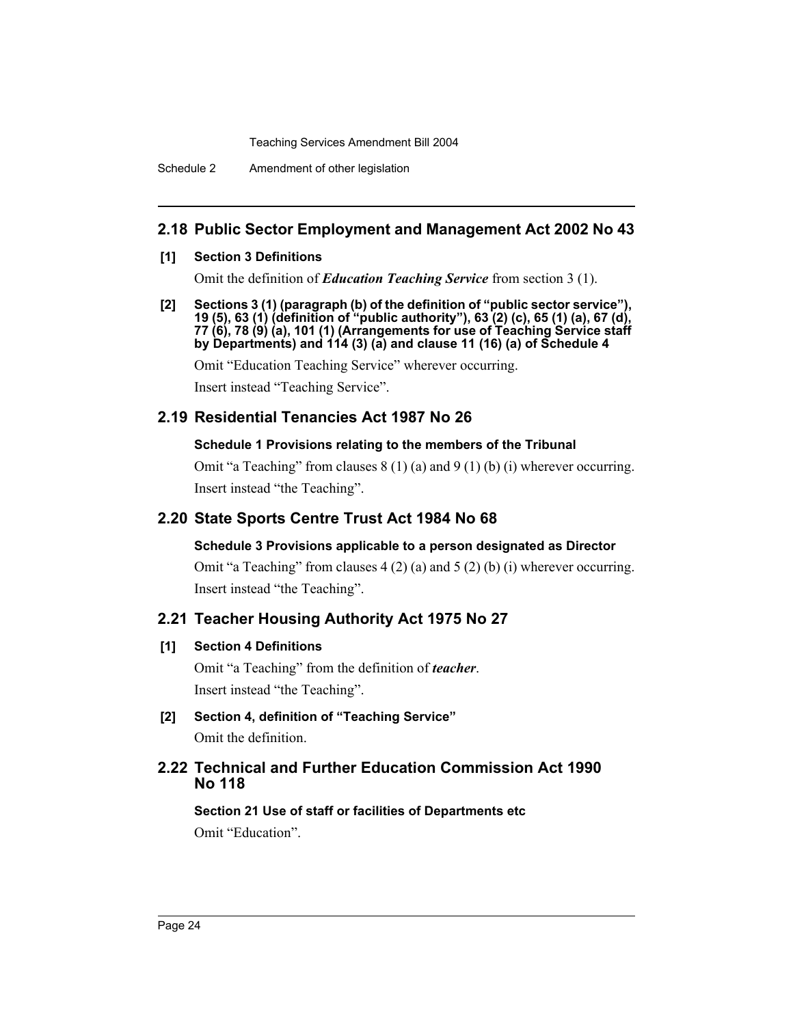Schedule 2 Amendment of other legislation

# **2.18 Public Sector Employment and Management Act 2002 No 43**

## **[1] Section 3 Definitions**

Omit the definition of *Education Teaching Service* from section 3 (1).

**[2] Sections 3 (1) (paragraph (b) of the definition of "public sector service"), 19 (5), 63 (1) (definition of "public authority"), 63 (2) (c), 65 (1) (a), 67 (d), 77 (6), 78 (9) (a), 101 (1) (Arrangements for use of Teaching Service staff by Departments) and 114 (3) (a) and clause 11 (16) (a) of Schedule 4**

Omit "Education Teaching Service" wherever occurring.

Insert instead "Teaching Service".

# **2.19 Residential Tenancies Act 1987 No 26**

## **Schedule 1 Provisions relating to the members of the Tribunal**

Omit "a Teaching" from clauses 8 (1) (a) and 9 (1) (b) (i) wherever occurring. Insert instead "the Teaching".

# **2.20 State Sports Centre Trust Act 1984 No 68**

# **Schedule 3 Provisions applicable to a person designated as Director**

Omit "a Teaching" from clauses 4 (2) (a) and 5 (2) (b) (i) wherever occurring. Insert instead "the Teaching".

# **2.21 Teacher Housing Authority Act 1975 No 27**

# **[1] Section 4 Definitions**

Omit "a Teaching" from the definition of *teacher*. Insert instead "the Teaching".

**[2] Section 4, definition of "Teaching Service"** Omit the definition.

# **2.22 Technical and Further Education Commission Act 1990 No 118**

**Section 21 Use of staff or facilities of Departments etc** Omit "Education".